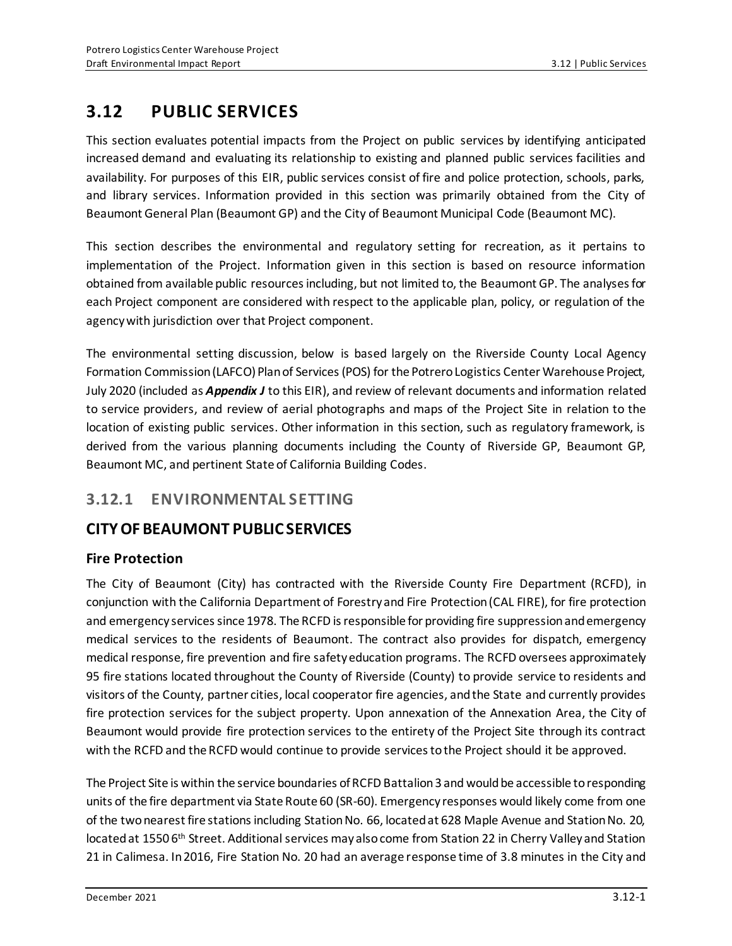# **3.12 PUBLIC SERVICES**

This section evaluates potential impacts from the Project on public services by identifying anticipated increased demand and evaluating its relationship to existing and planned public services facilities and availability. For purposes of this EIR, public services consist of fire and police protection, schools, parks, and library services. Information provided in this section was primarily obtained from the City of Beaumont General Plan (Beaumont GP) and the City of Beaumont Municipal Code (Beaumont MC).

This section describes the environmental and regulatory setting for recreation, as it pertains to implementation of the Project. Information given in this section is based on resource information obtained from available public resources including, but not limited to, the Beaumont GP. The analyses for each Project component are considered with respect to the applicable plan, policy, or regulation of the agency with jurisdiction over that Project component.

The environmental setting discussion, below is based largely on the Riverside County Local Agency Formation Commission (LAFCO) Plan of Services (POS) for the Potrero Logistics Center Warehouse Project, July 2020 (included as *Appendix J* to this EIR), and review of relevant documents and information related to service providers, and review of aerial photographs and maps of the Project Site in relation to the location of existing public services. Other information in this section, such as regulatory framework, is derived from the various planning documents including the County of Riverside GP, Beaumont GP, Beaumont MC, and pertinent State of California Building Codes.

# **3.12.1 ENVIRONMENTAL SETTING**

# **CITY OF BEAUMONT PUBLIC SERVICES**

## **Fire Protection**

The City of Beaumont (City) has contracted with the Riverside County Fire Department (RCFD), in conjunction with the California Department of Forestry and Fire Protection (CAL FIRE), for fire protection and emergency services since 1978. The RCFD is responsible for providing fire suppression and emergency medical services to the residents of Beaumont. The contract also provides for dispatch, emergency medical response, fire prevention and fire safety education programs. The RCFD oversees approximately 95 fire stations located throughout the County of Riverside (County) to provide service to residents and visitors of the County, partner cities, local cooperator fire agencies, and the State and currently provides fire protection services for the subject property. Upon annexation of the Annexation Area, the City of Beaumont would provide fire protection services to the entirety of the Project Site through its contract with the RCFD and the RCFD would continue to provide services to the Project should it be approved.

The Project Site is within the service boundaries of RCFD Battalion 3 and would be accessible to responding units of the fire department via State Route 60 (SR-60). Emergency responses would likely come from one of the two nearest fire stations including Station No. 66, located at 628 Maple Avenue and Station No. 20, located at 1550 6<sup>th</sup> Street. Additional services may also come from Station 22 in Cherry Valley and Station 21 in Calimesa. In 2016, Fire Station No. 20 had an average response time of 3.8 minutes in the City and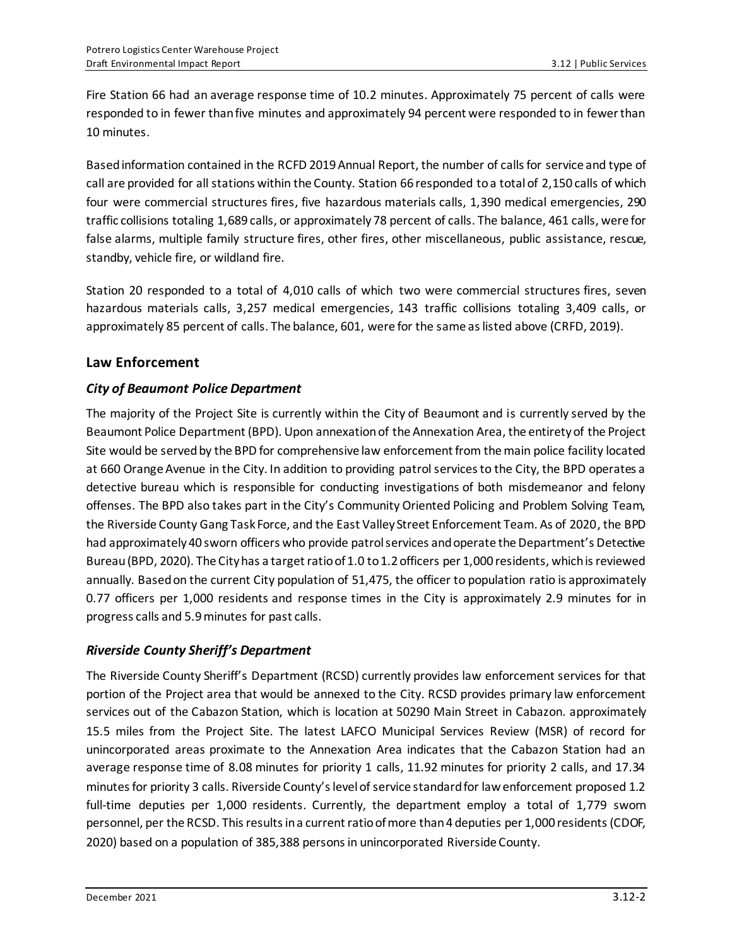Fire Station 66 had an average response time of 10.2 minutes. Approximately 75 percent of calls were responded to in fewer than five minutes and approximately 94 percent were responded to in fewer than 10 minutes.

Based information contained in the RCFD 2019 Annual Report, the number of calls for service and type of call are provided for all stations within the County. Station 66 responded to a total of 2,150 calls of which four were commercial structures fires, five hazardous materials calls, 1,390 medical emergencies, 290 traffic collisions totaling 1,689 calls, or approximately 78 percent of calls. The balance, 461 calls, were for false alarms, multiple family structure fires, other fires, other miscellaneous, public assistance, rescue, standby, vehicle fire, or wildland fire.

Station 20 responded to a total of 4,010 calls of which two were commercial structures fires, seven hazardous materials calls, 3,257 medical emergencies, 143 traffic collisions totaling 3,409 calls, or approximately 85 percent of calls. The balance, 601, were for the same as listed above (CRFD, 2019).

## **Law Enforcement**

## *City of Beaumont Police Department*

The majority of the Project Site is currently within the City of Beaumont and is currently served by the Beaumont Police Department (BPD). Upon annexation of the Annexation Area, the entirety of the Project Site would be served by the BPD for comprehensive law enforcement from the main police facility located at 660 Orange Avenue in the City. In addition to providing patrol services to the City, the BPD operates a detective bureau which is responsible for conducting investigations of both misdemeanor and felony offenses. The BPD also takes part in the City's Community Oriented Policing and Problem Solving Team, the Riverside County Gang Task Force, and the East Valley Street Enforcement Team. As of 2020, the BPD had approximately 40 sworn officers who provide patrol services and operate the Department's Detective Bureau(BPD, 2020). The City has a target ratio of 1.0 to 1.2 officers per 1,000 residents, which is reviewed annually. Based on the current City population of 51,475, the officer to population ratio is approximately 0.77 officers per 1,000 residents and response times in the City is approximately 2.9 minutes for in progress calls and 5.9 minutes for past calls.

## *Riverside County Sheriff's Department*

The Riverside County Sheriff's Department (RCSD) currently provides law enforcement services for that portion of the Project area that would be annexed to the City. RCSD provides primary law enforcement services out of the Cabazon Station, which is location at 50290 Main Street in Cabazon. approximately 15.5 miles from the Project Site. The latest LAFCO Municipal Services Review (MSR) of record for unincorporated areas proximate to the Annexation Area indicates that the Cabazon Station had an average response time of 8.08 minutes for priority 1 calls, 11.92 minutes for priority 2 calls, and 17.34 minutes for priority 3 calls. Riverside County's level of service standard for law enforcement proposed 1.2 full-time deputies per 1,000 residents. Currently, the department employ a total of 1,779 sworn personnel, per the RCSD. This results in a current ratio of more than 4 deputies per 1,000 residents (CDOF, 2020) based on a population of 385,388 persons in unincorporated Riverside County.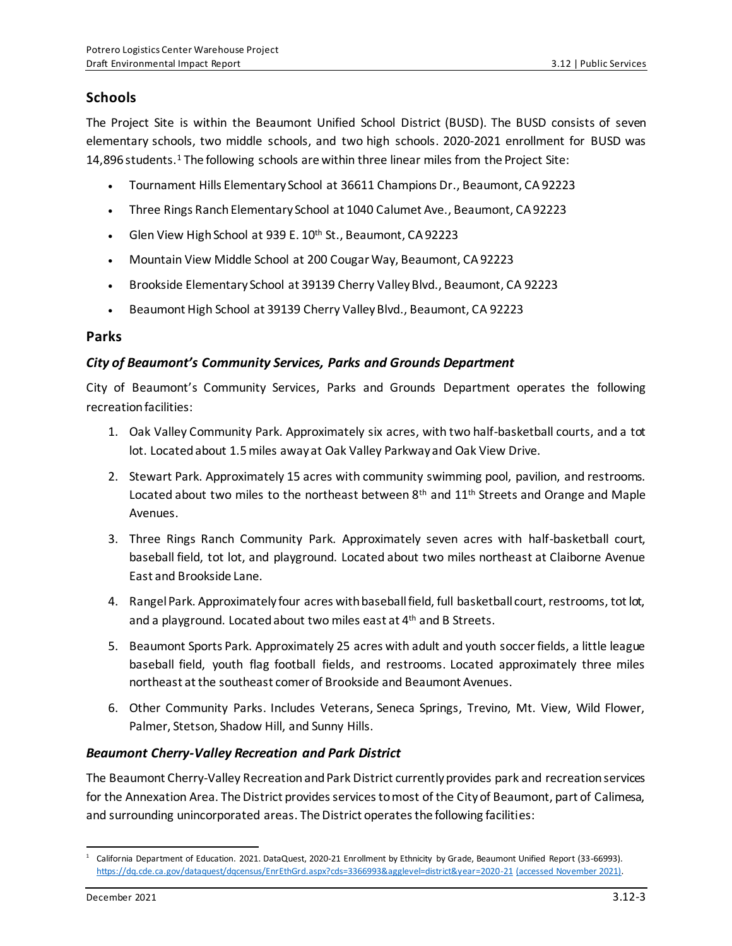## **Schools**

The Project Site is within the Beaumont Unified School District (BUSD). The BUSD consists of seven elementary schools, two middle schools, and two high schools. 2020-2021 enrollment for BUSD was 14,896 students.<sup>1</sup> The following schools are within three linear miles from the Project Site:

- Tournament Hills Elementary School at 36611 Champions Dr., Beaumont, CA 92223
- Three Rings Ranch Elementary School at 1040 Calumet Ave., Beaumont, CA 92223
- Glen View High School at 939 E. 10<sup>th</sup> St., Beaumont, CA 92223
- Mountain View Middle School at 200 Cougar Way, Beaumont, CA 92223
- Brookside Elementary School at 39139 Cherry Valley Blvd., Beaumont, CA 92223
- Beaumont High School at 39139 Cherry Valley Blvd., Beaumont, CA 92223

#### **Parks**

### *City of Beaumont's Community Services, Parks and Grounds Department*

City of Beaumont's Community Services, Parks and Grounds Department operates the following recreation facilities:

- 1. Oak Valley Community Park. Approximately six acres, with two half-basketball courts, and a tot lot. Located about 1.5 miles away at Oak Valley Parkway and Oak View Drive.
- 2. Stewart Park. Approximately 15 acres with community swimming pool, pavilion, and restrooms. Located about two miles to the northeast between  $8<sup>th</sup>$  and  $11<sup>th</sup>$  Streets and Orange and Maple Avenues.
- 3. Three Rings Ranch Community Park. Approximately seven acres with half-basketball court, baseball field, tot lot, and playground. Located about two miles northeast at Claiborne Avenue East and Brookside Lane.
- 4. Rangel Park. Approximately four acres with baseball field, full basketball court, restrooms, tot lot, and a playground. Located about two miles east at 4<sup>th</sup> and B Streets.
- 5. Beaumont Sports Park. Approximately 25 acres with adult and youth soccer fields, a little league baseball field, youth flag football fields, and restrooms. Located approximately three miles northeast at the southeast comer of Brookside and Beaumont Avenues.
- 6. Other Community Parks. Includes Veterans, Seneca Springs, Trevino, Mt. View, Wild Flower, Palmer, Stetson, Shadow Hill, and Sunny Hills.

### *Beaumont Cherry-Valley Recreation and Park District*

The Beaumont Cherry-Valley Recreation and Park District currently provides park and recreation services for the Annexation Area. The District provides services to most of the City of Beaumont, part of Calimesa, and surrounding unincorporated areas. The District operates the following facilities:

<sup>1</sup> California Department of Education. 2021. DataQuest, 2020-21 Enrollment by Ethnicity by Grade, Beaumont Unified Report (33-66993). <https://dq.cde.ca.gov/dataquest/dqcensus/EnrEthGrd.aspx?cds=3366993&agglevel=district&year=2020-21> (accessed November 2021).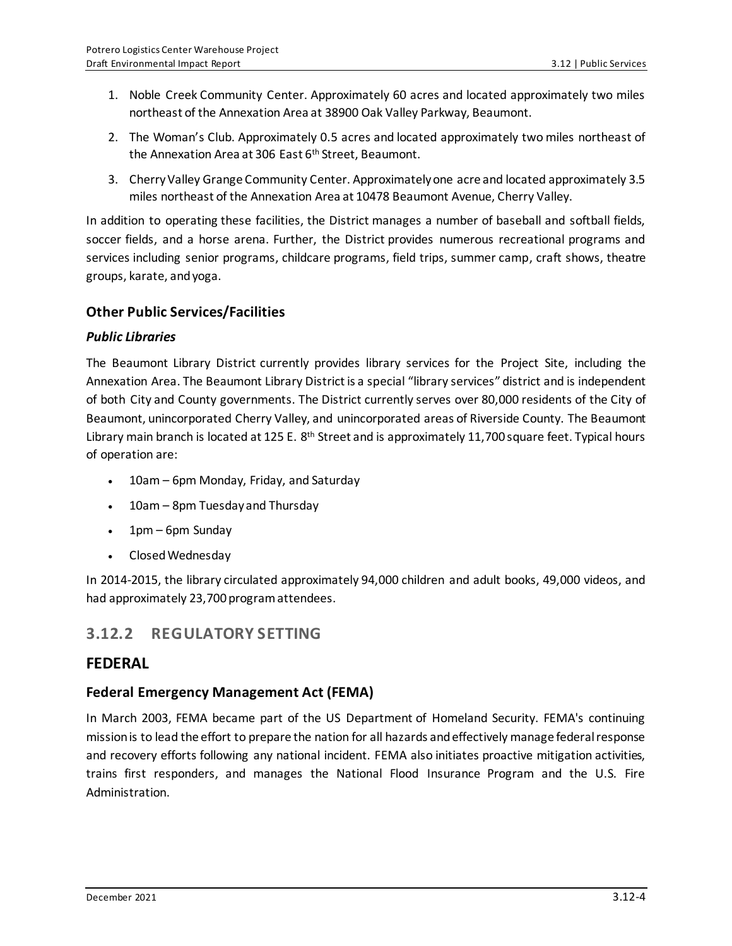- 1. Noble Creek Community Center. Approximately 60 acres and located approximately two miles northeast of the Annexation Area at 38900 Oak Valley Parkway, Beaumont.
- 2. The Woman's Club. Approximately 0.5 acres and located approximately two miles northeast of the Annexation Area at 306 East 6<sup>th</sup> Street, Beaumont.
- 3. Cherry Valley Grange Community Center. Approximately one acre and located approximately 3.5 miles northeast of the Annexation Area at 10478 Beaumont Avenue, Cherry Valley.

In addition to operating these facilities, the District manages a number of baseball and softball fields, soccer fields, and a horse arena. Further, the District provides numerous recreational programs and services including senior programs, childcare programs, field trips, summer camp, craft shows, theatre groups, karate, and yoga.

### **Other Public Services/Facilities**

### *Public Libraries*

The Beaumont Library District currently provides library services for the Project Site, including the Annexation Area. The Beaumont Library District is a special "library services" district and is independent of both City and County governments. The District currently serves over 80,000 residents of the City of Beaumont, unincorporated Cherry Valley, and unincorporated areas of Riverside County. The Beaumont Library main branch is located at 125 E. 8<sup>th</sup> Street and is approximately 11,700 square feet. Typical hours of operation are:

- 10am 6pm Monday, Friday, and Saturday
- 10am 8pm Tuesday and Thursday
- 1pm 6pm Sunday
- Closed Wednesday

In 2014-2015, the library circulated approximately 94,000 children and adult books, 49,000 videos, and had approximately 23,700 program attendees.

## **3.12.2 REGULATORY SETTING**

## **FEDERAL**

## **Federal Emergency Management Act (FEMA)**

In March 2003, FEMA became part of the US Department of Homeland Security. FEMA's continuing mission is to lead the effort to prepare the nation for all hazards and effectively manage federal response and recovery efforts following any national incident. FEMA also initiates proactive mitigation activities, trains first responders, and manages the National Flood Insurance Program and the U.S. Fire Administration.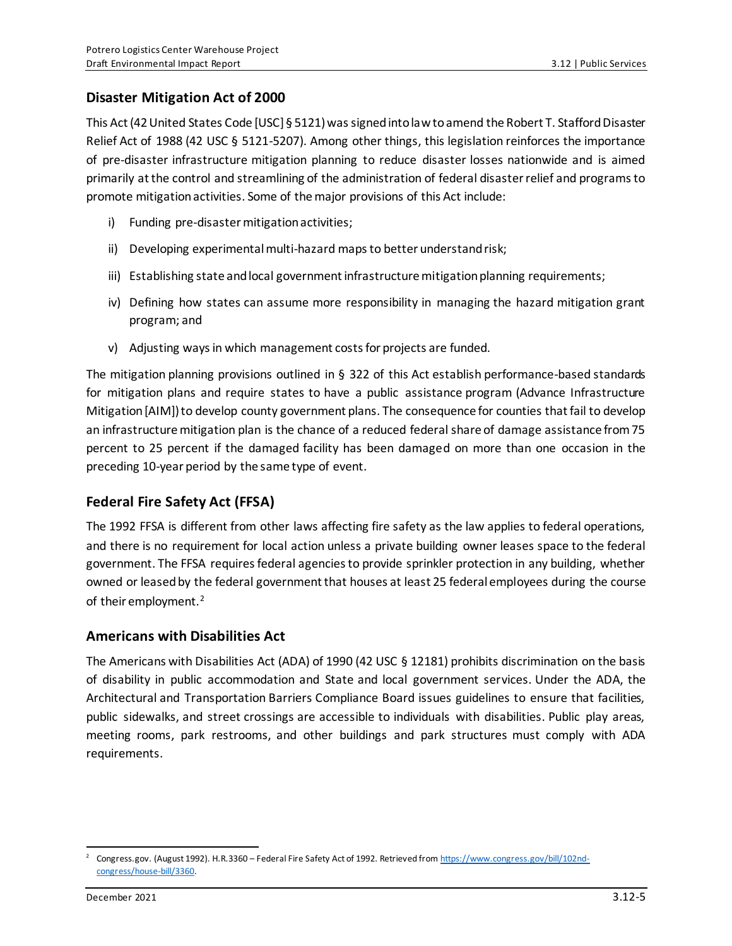### **Disaster Mitigation Act of 2000**

This Act (42 United States Code [USC] § 5121) was signed into law to amend the Robert T. Stafford Disaster Relief Act of 1988 (42 USC § 5121-5207). Among other things, this legislation reinforces the importance of pre-disaster infrastructure mitigation planning to reduce disaster losses nationwide and is aimed primarily at the control and streamlining of the administration of federal disaster relief and programs to promote mitigation activities. Some of the major provisions of this Act include:

- i) Funding pre-disaster mitigation activities;
- ii) Developing experimental multi-hazard maps to better understand risk;
- iii) Establishing state and local government infrastructure mitigation planning requirements;
- iv) Defining how states can assume more responsibility in managing the hazard mitigation grant program; and
- v) Adjusting ways in which management costs for projects are funded.

The mitigation planning provisions outlined in § 322 of this Act establish performance-based standards for mitigation plans and require states to have a public assistance program (Advance Infrastructure Mitigation [AIM]) to develop county government plans. The consequence for counties that fail to develop an infrastructure mitigation plan is the chance of a reduced federal share of damage assistance from 75 percent to 25 percent if the damaged facility has been damaged on more than one occasion in the preceding 10-year period by the same type of event.

### **Federal Fire Safety Act (FFSA)**

The 1992 FFSA is different from other laws affecting fire safety as the law applies to federal operations, and there is no requirement for local action unless a private building owner leases space to the federal government. The FFSA requires federal agencies to provide sprinkler protection in any building, whether owned or leased by the federal government that houses at least 25 federal employees during the course of their employment.<sup>2</sup>

### **Americans with Disabilities Act**

The Americans with Disabilities Act (ADA) of 1990 (42 USC § 12181) prohibits discrimination on the basis of disability in public accommodation and State and local government services. Under the ADA, the Architectural and Transportation Barriers Compliance Board issues guidelines to ensure that facilities, public sidewalks, and street crossings are accessible to individuals with disabilities. Public play areas, meeting rooms, park restrooms, and other buildings and park structures must comply with ADA requirements.

<sup>2</sup> Congress.gov. (August 1992). H.R.3360 – Federal Fire Safety Act of 1992. Retrieved fro[m https://www.congress.gov/bill/102nd](https://www.congress.gov/bill/102nd-congress/house-bill/3360)[congress/house-bill/3360.](https://www.congress.gov/bill/102nd-congress/house-bill/3360)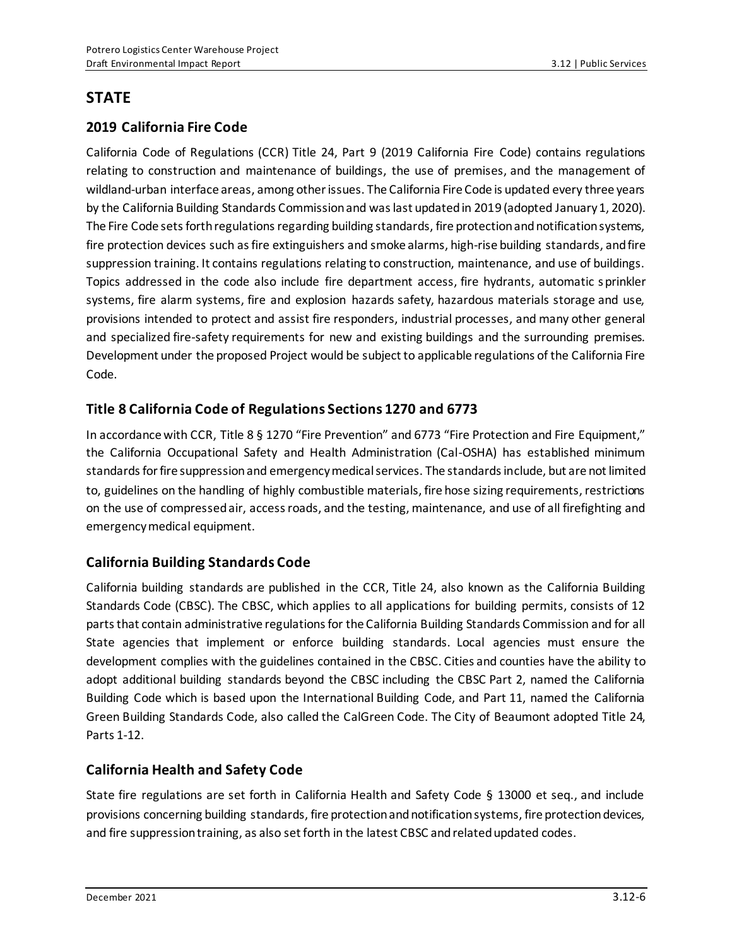## **STATE**

## **2019 California Fire Code**

California Code of Regulations (CCR) Title 24, Part 9 (2019 California Fire Code) contains regulations relating to construction and maintenance of buildings, the use of premises, and the management of wildland-urban interface areas, among other issues. The California Fire Code is updated every three years by the California Building Standards Commission and was last updated in 2019 (adopted January 1, 2020). The Fire Code sets forth regulations regarding building standards, fire protection and notification systems, fire protection devices such as fire extinguishers and smoke alarms, high-rise building standards, and fire suppression training. It contains regulations relating to construction, maintenance, and use of buildings. Topics addressed in the code also include fire department access, fire hydrants, automatic sprinkler systems, fire alarm systems, fire and explosion hazards safety, hazardous materials storage and use, provisions intended to protect and assist fire responders, industrial processes, and many other general and specialized fire-safety requirements for new and existing buildings and the surrounding premises. Development under the proposed Project would be subject to applicable regulations of the California Fire Code.

## **Title 8 California Code of Regulations Sections 1270 and 6773**

In accordance with CCR, Title 8 § 1270 "Fire Prevention" and 6773 "Fire Protection and Fire Equipment," the California Occupational Safety and Health Administration (Cal-OSHA) has established minimum standards for fire suppression and emergency medical services. The standards include, but are not limited to, guidelines on the handling of highly combustible materials, fire hose sizing requirements, restrictions on the use of compressed air, access roads, and the testing, maintenance, and use of all firefighting and emergency medical equipment.

## **California Building Standards Code**

California building standards are published in the CCR, Title 24, also known as the California Building Standards Code (CBSC). The CBSC, which applies to all applications for building permits, consists of 12 parts that contain administrative regulations for the California Building Standards Commission and for all State agencies that implement or enforce building standards. Local agencies must ensure the development complies with the guidelines contained in the CBSC. Cities and counties have the ability to adopt additional building standards beyond the CBSC including the CBSC Part 2, named the California Building Code which is based upon the International Building Code, and Part 11, named the California Green Building Standards Code, also called the CalGreen Code. The City of Beaumont adopted Title 24, Parts 1-12.

## **California Health and Safety Code**

State fire regulations are set forth in California Health and Safety Code § 13000 et seq., and include provisions concerning building standards, fire protection and notification systems, fire protection devices, and fire suppression training, as also set forth in the latest CBSC and related updated codes.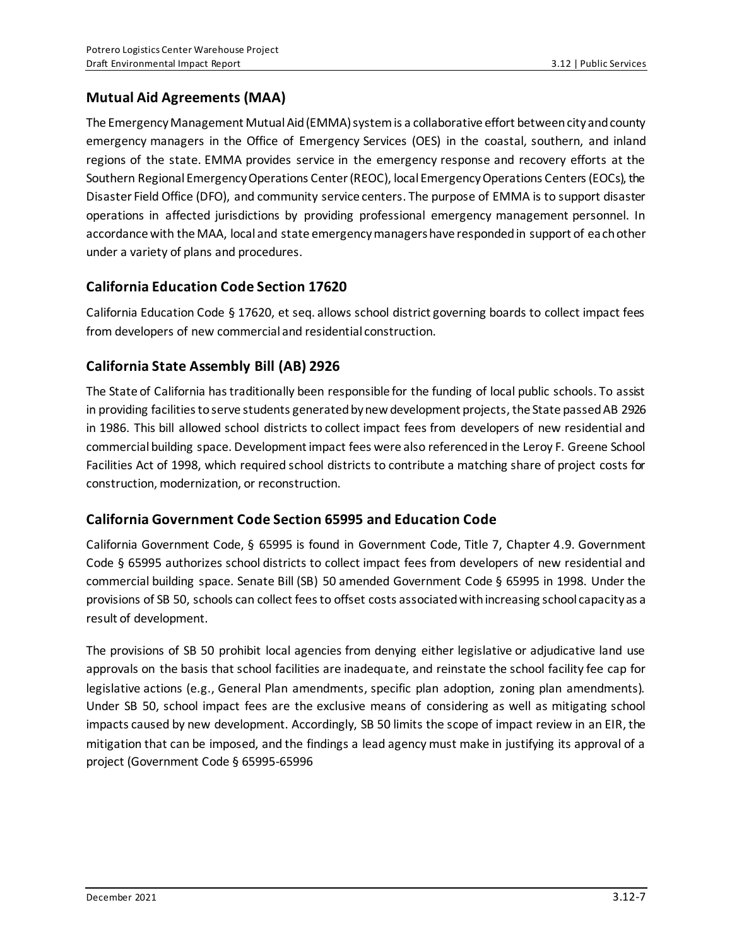## **Mutual Aid Agreements (MAA)**

The Emergency Management Mutual Aid (EMMA) system is a collaborative effort between city and county emergency managers in the Office of Emergency Services (OES) in the coastal, southern, and inland regions of the state. EMMA provides service in the emergency response and recovery efforts at the Southern Regional Emergency Operations Center (REOC), local Emergency Operations Centers (EOCs), the Disaster Field Office (DFO), and community service centers. The purpose of EMMA is to support disaster operations in affected jurisdictions by providing professional emergency management personnel. In accordance with the MAA, local and state emergency managers have responded in support of each other under a variety of plans and procedures.

## **California Education Code Section 17620**

California Education Code § 17620, et seq. allows school district governing boards to collect impact fees from developers of new commercial and residential construction.

## **California State Assembly Bill (AB) 2926**

The State of California has traditionally been responsible for the funding of local public schools. To assist in providing facilities to serve students generated by new development projects, the State passed AB 2926 in 1986. This bill allowed school districts to collect impact fees from developers of new residential and commercial building space. Development impact fees were also referenced in the Leroy F. Greene School Facilities Act of 1998, which required school districts to contribute a matching share of project costs for construction, modernization, or reconstruction.

## **California Government Code Section 65995 and Education Code**

California Government Code, § 65995 is found in Government Code, Title 7, Chapter 4.9. Government Code § 65995 authorizes school districts to collect impact fees from developers of new residential and commercial building space. Senate Bill (SB) 50 amended Government Code § 65995 in 1998. Under the provisions of SB 50, schools can collect fees to offset costs associated with increasing school capacity as a result of development.

The provisions of SB 50 prohibit local agencies from denying either legislative or adjudicative land use approvals on the basis that school facilities are inadequate, and reinstate the school facility fee cap for legislative actions (e.g., General Plan amendments, specific plan adoption, zoning plan amendments). Under SB 50, school impact fees are the exclusive means of considering as well as mitigating school impacts caused by new development. Accordingly, SB 50 limits the scope of impact review in an EIR, the mitigation that can be imposed, and the findings a lead agency must make in justifying its approval of a project (Government Code § 65995-65996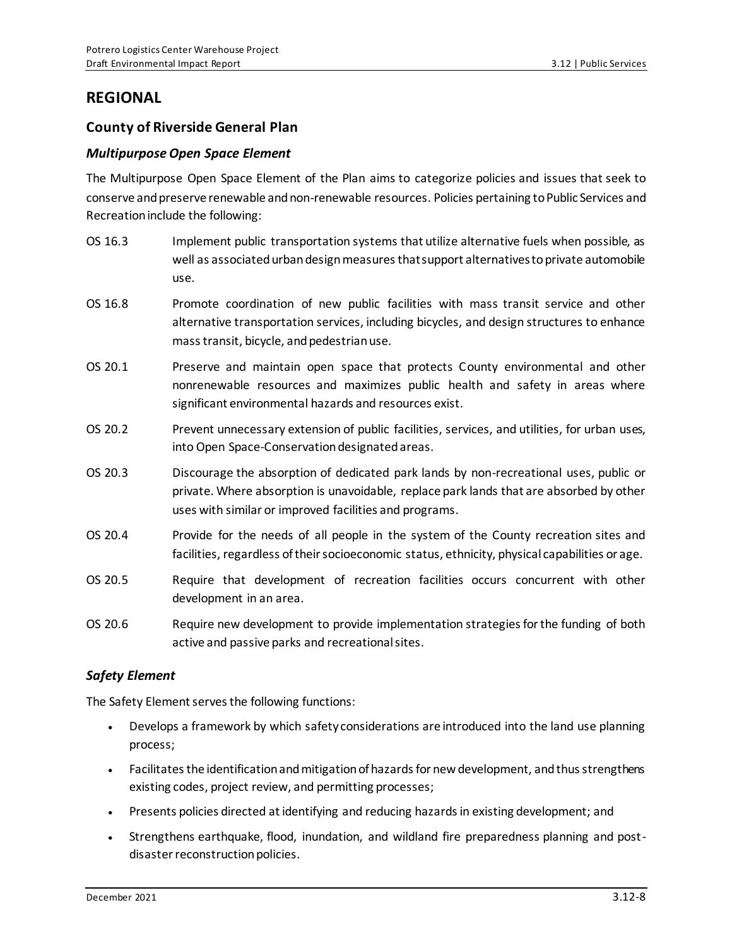## **REGIONAL**

### **County of Riverside General Plan**

#### *Multipurpose Open Space Element*

The Multipurpose Open Space Element of the Plan aims to categorize policies and issues that seek to conserve and preserve renewable and non-renewable resources. Policies pertaining to Public Services and Recreation include the following:

- OS 16.3 Implement public transportation systems that utilize alternative fuels when possible, as well as associated urban design measures that support alternatives to private automobile use.
- OS 16.8 Promote coordination of new public facilities with mass transit service and other alternative transportation services, including bicycles, and design structures to enhance mass transit, bicycle, and pedestrian use.
- OS 20.1 Preserve and maintain open space that protects County environmental and other nonrenewable resources and maximizes public health and safety in areas where significant environmental hazards and resources exist.
- OS 20.2 Prevent unnecessary extension of public facilities, services, and utilities, for urban uses, into Open Space-Conservation designated areas.
- OS 20.3 Discourage the absorption of dedicated park lands by non-recreational uses, public or private. Where absorption is unavoidable, replace park lands that are absorbed by other uses with similar or improved facilities and programs.
- OS 20.4 Provide for the needs of all people in the system of the County recreation sites and facilities, regardless of their socioeconomic status, ethnicity, physical capabilities or age.
- OS 20.5 Require that development of recreation facilities occurs concurrent with other development in an area.
- OS 20.6 Require new development to provide implementation strategies for the funding of both active and passive parks and recreational sites.

#### *Safety Element*

The Safety Element serves the following functions:

- Develops a framework by which safety considerations are introduced into the land use planning process;
- Facilitates the identification and mitigation of hazards for new development, and thus strengthens existing codes, project review, and permitting processes;
- Presents policies directed at identifying and reducing hazards in existing development; and
- Strengthens earthquake, flood, inundation, and wildland fire preparedness planning and postdisaster reconstruction policies.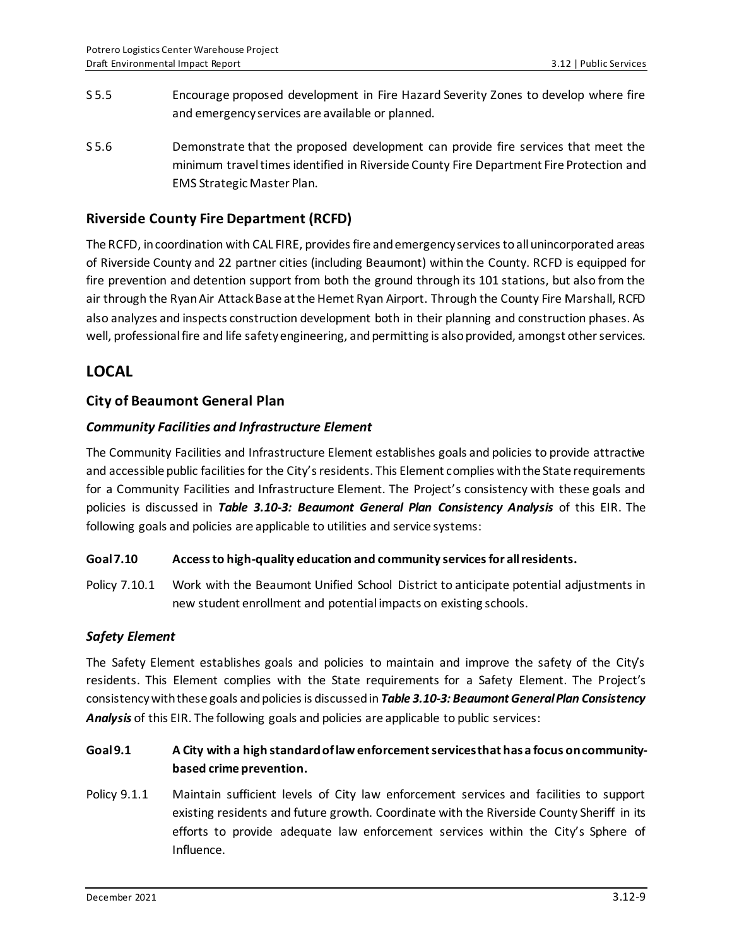- S 5.5 Encourage proposed development in Fire Hazard Severity Zones to develop where fire and emergency services are available or planned.
- S 5.6 Demonstrate that the proposed development can provide fire services that meet the minimum travel times identified in Riverside County Fire Department Fire Protection and EMS Strategic Master Plan.

### **Riverside County Fire Department (RCFD)**

The RCFD, in coordination with CAL FIRE, provides fire and emergency services to all unincorporated areas of Riverside County and 22 partner cities (including Beaumont) within the County. RCFD is equipped for fire prevention and detention support from both the ground through its 101 stations, but also from the air through the Ryan Air Attack Base at the Hemet Ryan Airport. Through the County Fire Marshall, RCFD also analyzes and inspects construction development both in their planning and construction phases. As well, professional fire and life safety engineering, and permitting is also provided, amongst other services.

## **LOCAL**

### **City of Beaumont General Plan**

### *Community Facilities and Infrastructure Element*

The Community Facilities and Infrastructure Element establishes goals and policies to provide attractive and accessible public facilities for the City's residents. This Element complies with the State requirements for a Community Facilities and Infrastructure Element. The Project's consistency with these goals and policies is discussed in *Table 3.10-3: Beaumont General Plan Consistency Analysis* of this EIR. The following goals and policies are applicable to utilities and service systems:

#### **Goal 7.10 Access to high-quality education and community services for all residents.**

Policy 7.10.1 Work with the Beaumont Unified School District to anticipate potential adjustments in new student enrollment and potential impacts on existing schools.

#### *Safety Element*

The Safety Element establishes goals and policies to maintain and improve the safety of the City's residents. This Element complies with the State requirements for a Safety Element. The Project's consistency with these goals and policies is discussed in *Table 3.10-3: Beaumont General Plan Consistency Analysis* of this EIR. The following goals and policies are applicable to public services:

## **Goal 9.1 A City with a high standard of law enforcement services that has a focus on communitybased crime prevention.**

Policy 9.1.1 Maintain sufficient levels of City law enforcement services and facilities to support existing residents and future growth. Coordinate with the Riverside County Sheriff in its efforts to provide adequate law enforcement services within the City's Sphere of Influence.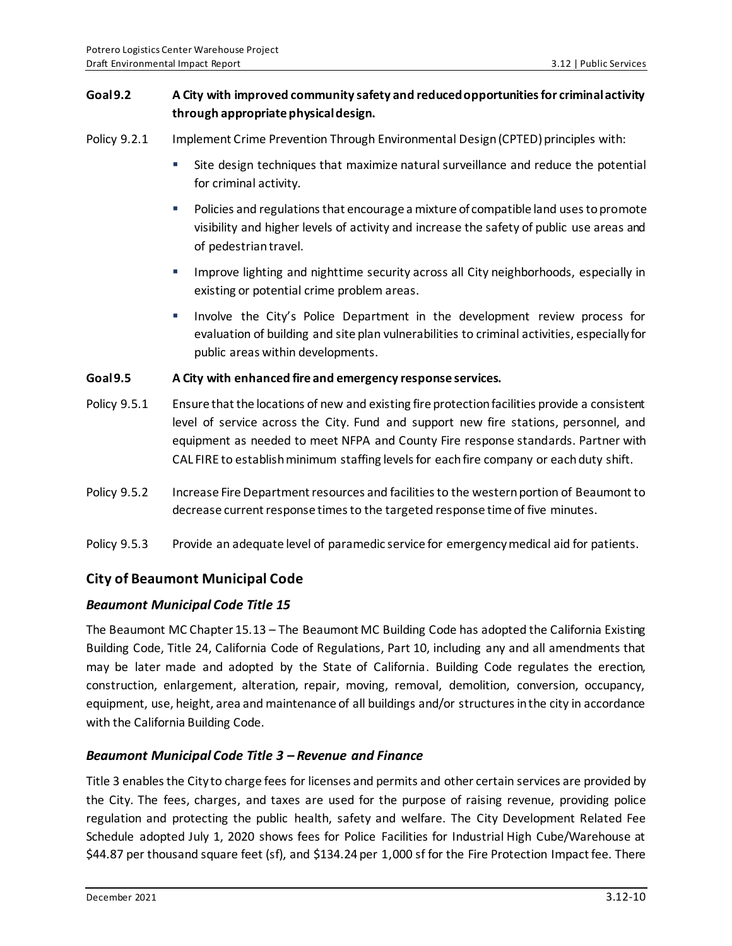### **Goal 9.2 A City with improved community safety and reduced opportunities for criminal activity through appropriate physical design.**

- Policy 9.2.1 Implement Crime Prevention Through Environmental Design (CPTED) principles with:
	- Site design techniques that maximize natural surveillance and reduce the potential for criminal activity.
	- Policies and regulations that encourage a mixture of compatible land uses to promote visibility and higher levels of activity and increase the safety of public use areas and of pedestrian travel.
	- **■** Improve lighting and nighttime security across all City neighborhoods, especially in existing or potential crime problem areas.
	- Involve the City's Police Department in the development review process for evaluation of building and site plan vulnerabilities to criminal activities, especially for public areas within developments.

#### **Goal 9.5 A City with enhanced fire and emergency response services.**

- Policy 9.5.1 Ensure that the locations of new and existing fire protection facilities provide a consistent level of service across the City. Fund and support new fire stations, personnel, and equipment as needed to meet NFPA and County Fire response standards. Partner with CAL FIRE to establish minimum staffing levels for each fire company or each duty shift.
- Policy 9.5.2 Increase Fire Department resources and facilities to the western portion of Beaumont to decrease current response times to the targeted response time of five minutes.
- Policy 9.5.3 Provide an adequate level of paramedic service for emergency medical aid for patients.

## **City of Beaumont Municipal Code**

### *Beaumont Municipal Code Title 15*

The Beaumont MC Chapter 15.13 – The Beaumont MC Building Code has adopted the California Existing Building Code, Title 24, California Code of Regulations, Part 10, including any and all amendments that may be later made and adopted by the State of California. Building Code regulates the erection, construction, enlargement, alteration, repair, moving, removal, demolition, conversion, occupancy, equipment, use, height, area and maintenance of all buildings and/or structures in the city in accordance with the California Building Code.

### *Beaumont Municipal Code Title 3 – Revenue and Finance*

Title 3 enables the City to charge fees for licenses and permits and other certain services are provided by the City. The fees, charges, and taxes are used for the purpose of raising revenue, providing police regulation and protecting the public health, safety and welfare. The City Development Related Fee Schedule adopted July 1, 2020 shows fees for Police Facilities for Industrial High Cube/Warehouse at \$44.87 per thousand square feet (sf), and \$134.24 per 1,000 sf for the Fire Protection Impact fee. There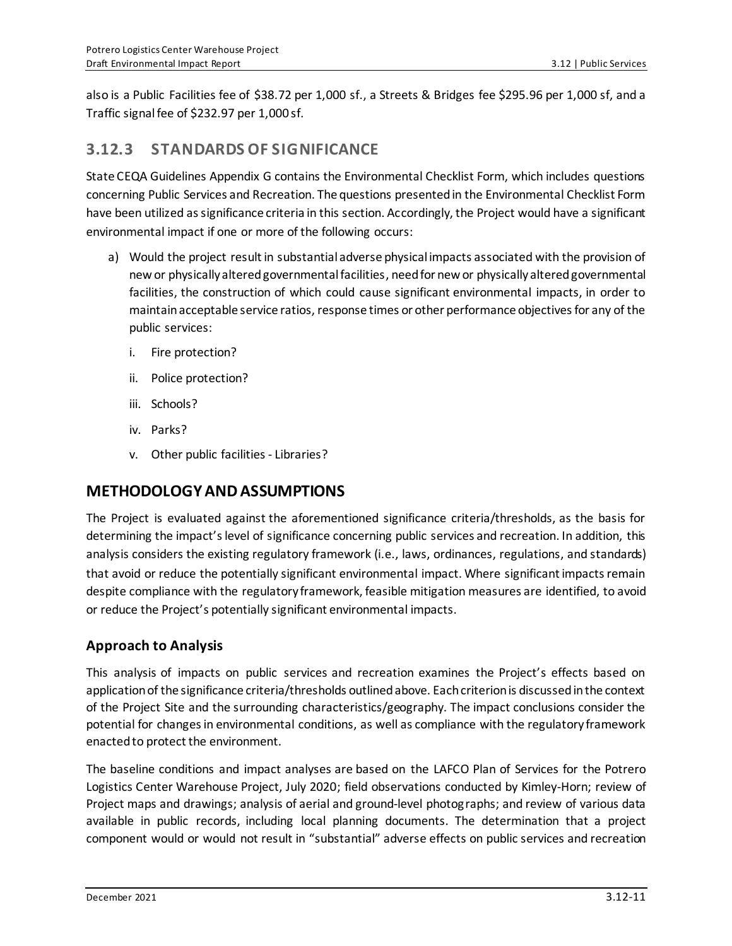also is a Public Facilities fee of \$38.72 per 1,000 sf., a Streets & Bridges fee \$295.96 per 1,000 sf, and a Traffic signal fee of \$232.97 per 1,000 sf.

## **3.12.3 STANDARDS OF SIGNIFICANCE**

State CEQA Guidelines Appendix G contains the Environmental Checklist Form, which includes questions concerning Public Services and Recreation. The questions presented in the Environmental Checklist Form have been utilized as significance criteria in this section. Accordingly, the Project would have a significant environmental impact if one or more of the following occurs:

- a) Would the project result in substantial adverse physical impacts associated with the provision of new or physically altered governmental facilities, need for new or physically altered governmental facilities, the construction of which could cause significant environmental impacts, in order to maintain acceptable service ratios, response times or other performance objectives for any of the public services:
	- i. Fire protection?
	- ii. Police protection?
	- iii. Schools?
	- iv. Parks?
	- v. Other public facilities Libraries?

## **METHODOLOGY AND ASSUMPTIONS**

The Project is evaluated against the aforementioned significance criteria/thresholds, as the basis for determining the impact's level of significance concerning public services and recreation. In addition, this analysis considers the existing regulatory framework (i.e., laws, ordinances, regulations, and standards) that avoid or reduce the potentially significant environmental impact. Where significant impacts remain despite compliance with the regulatory framework, feasible mitigation measures are identified, to avoid or reduce the Project's potentially significant environmental impacts.

## **Approach to Analysis**

This analysis of impacts on public services and recreation examines the Project's effects based on application of the significance criteria/thresholds outlined above. Each criterion is discussed in the context of the Project Site and the surrounding characteristics/geography. The impact conclusions consider the potential for changes in environmental conditions, as well as compliance with the regulatory framework enacted to protect the environment.

The baseline conditions and impact analyses are based on the LAFCO Plan of Services for the Potrero Logistics Center Warehouse Project, July 2020; field observations conducted by Kimley-Horn; review of Project maps and drawings; analysis of aerial and ground‐level photographs; and review of various data available in public records, including local planning documents. The determination that a project component would or would not result in "substantial" adverse effects on public services and recreation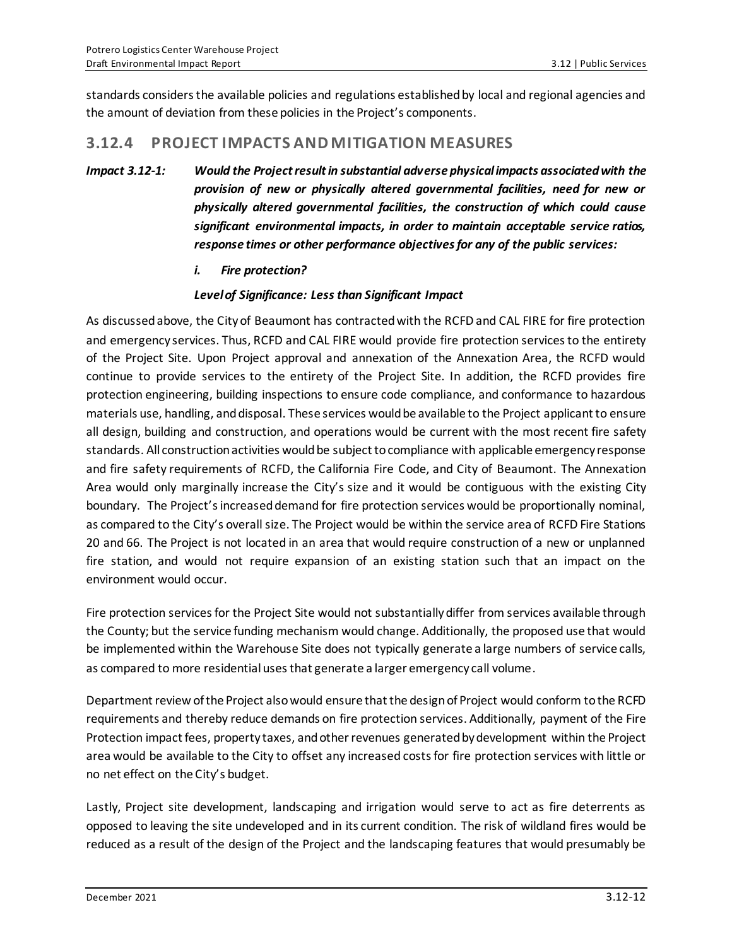standards considers the available policies and regulations established by local and regional agencies and the amount of deviation from these policies in the Project's components.

## **3.12.4 PROJECT IMPACTS AND MITIGATION MEASURES**

- *Impact 3.12-1: Would the Project result in substantial adverse physical impacts associated with the provision of new or physically altered governmental facilities, need for new or physically altered governmental facilities, the construction of which could cause significant environmental impacts, in order to maintain acceptable service ratios, response times or other performance objectives for any of the public services:*
	- *i. Fire protection?*

#### *Level of Significance: Less than Significant Impact*

As discussed above, the City of Beaumont has contracted with the RCFD and CAL FIRE for fire protection and emergency services. Thus, RCFD and CAL FIRE would provide fire protection services to the entirety of the Project Site. Upon Project approval and annexation of the Annexation Area, the RCFD would continue to provide services to the entirety of the Project Site. In addition, the RCFD provides fire protection engineering, building inspections to ensure code compliance, and conformance to hazardous materials use, handling, and disposal. These services would be available to the Project applicant to ensure all design, building and construction, and operations would be current with the most recent fire safety standards. All construction activities would be subject to compliance with applicable emergency response and fire safety requirements of RCFD, the California Fire Code, and City of Beaumont. The Annexation Area would only marginally increase the City's size and it would be contiguous with the existing City boundary. The Project's increased demand for fire protection services would be proportionally nominal, as compared to the City's overall size. The Project would be within the service area of RCFD Fire Stations 20 and 66. The Project is not located in an area that would require construction of a new or unplanned fire station, and would not require expansion of an existing station such that an impact on the environment would occur.

Fire protection services for the Project Site would not substantially differ from services available through the County; but the service funding mechanism would change. Additionally, the proposed use that would be implemented within the Warehouse Site does not typically generate a large numbers of service calls, as compared to more residential uses that generate a larger emergency call volume.

Department review of the Project also would ensure that the design of Project would conform to the RCFD requirements and thereby reduce demands on fire protection services. Additionally, payment of the Fire Protection impact fees, property taxes, and other revenues generated by development within the Project area would be available to the City to offset any increased costs for fire protection services with little or no net effect on the City's budget.

Lastly, Project site development, landscaping and irrigation would serve to act as fire deterrents as opposed to leaving the site undeveloped and in its current condition. The risk of wildland fires would be reduced as a result of the design of the Project and the landscaping features that would presumably be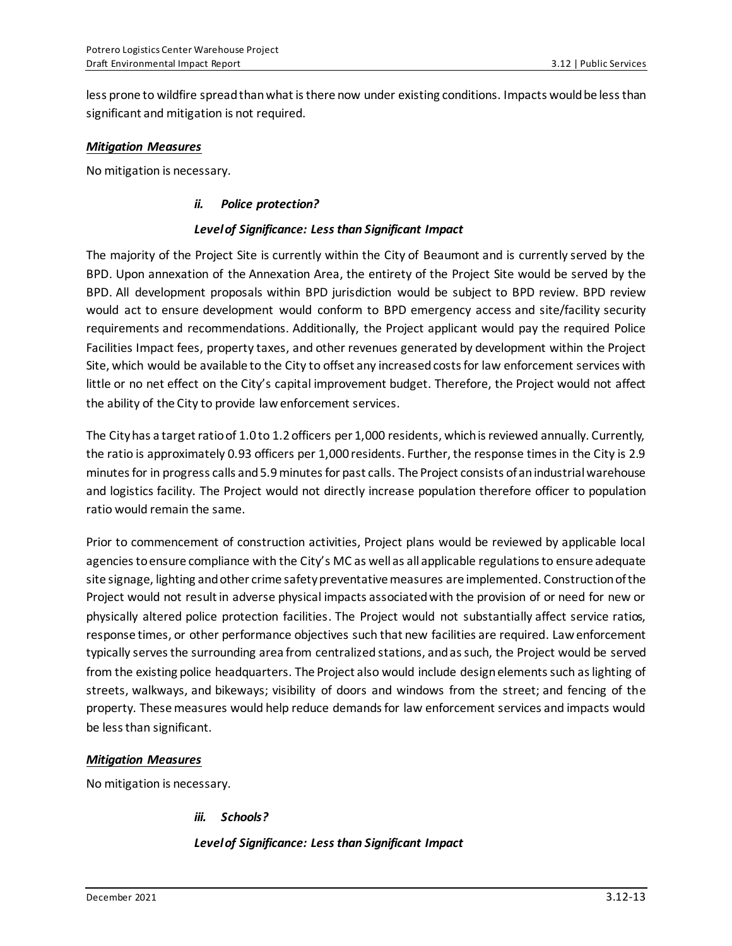less prone to wildfire spread than what is there now under existing conditions. Impacts would be less than significant and mitigation is not required.

#### *Mitigation Measures*

No mitigation is necessary.

#### *ii. Police protection?*

#### *Level of Significance: Less than Significant Impact*

The majority of the Project Site is currently within the City of Beaumont and is currently served by the BPD. Upon annexation of the Annexation Area, the entirety of the Project Site would be served by the BPD. All development proposals within BPD jurisdiction would be subject to BPD review. BPD review would act to ensure development would conform to BPD emergency access and site/facility security requirements and recommendations. Additionally, the Project applicant would pay the required Police Facilities Impact fees, property taxes, and other revenues generated by development within the Project Site, which would be available to the City to offset any increased costs for law enforcement services with little or no net effect on the City's capital improvement budget. Therefore, the Project would not affect the ability of the City to provide law enforcement services.

The City has a target ratio of 1.0 to 1.2 officers per 1,000 residents, which is reviewed annually. Currently, the ratio is approximately 0.93 officers per 1,000 residents. Further, the response times in the City is 2.9 minutes for in progress calls and 5.9 minutes for past calls. The Project consists of an industrial warehouse and logistics facility. The Project would not directly increase population therefore officer to population ratio would remain the same.

Prior to commencement of construction activities, Project plans would be reviewed by applicable local agencies to ensure compliance with the City's MC as well as all applicable regulations to ensure adequate site signage, lighting and other crime safety preventative measures are implemented. Construction of the Project would not result in adverse physical impacts associated with the provision of or need for new or physically altered police protection facilities. The Project would not substantially affect service ratios, response times, or other performance objectives such that new facilities are required. Law enforcement typically serves the surrounding area from centralized stations, and as such, the Project would be served from the existing police headquarters. The Project also would include design elements such as lighting of streets, walkways, and bikeways; visibility of doors and windows from the street; and fencing of the property. These measures would help reduce demands for law enforcement services and impacts would be less than significant.

#### *Mitigation Measures*

No mitigation is necessary.

*iii. Schools?*

*Level of Significance: Less than Significant Impact*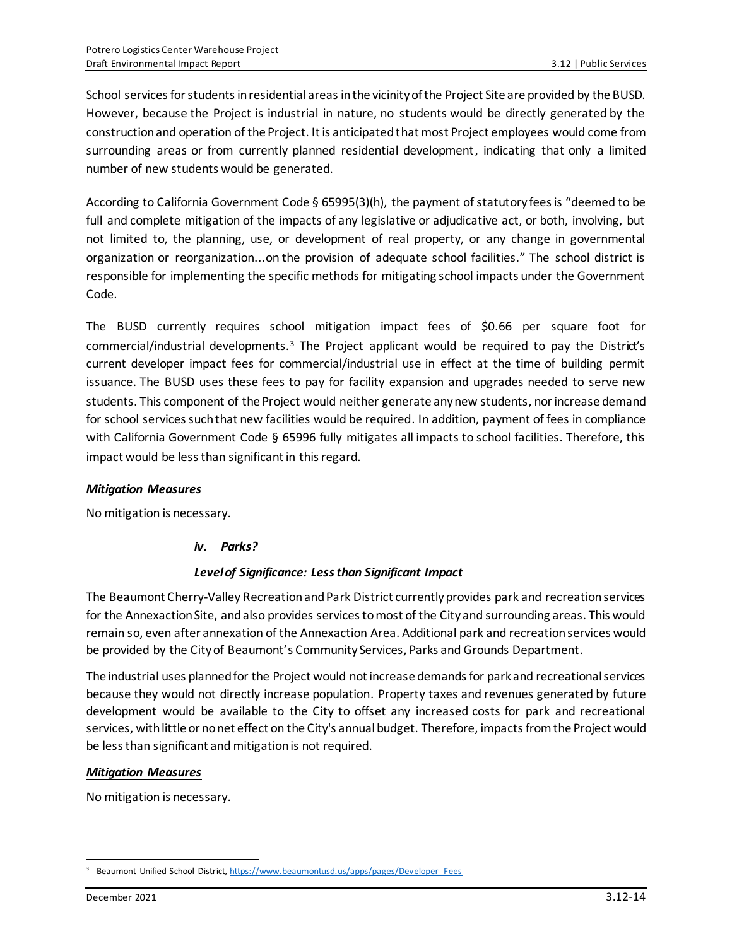School services for students in residential areas in the vicinity of the Project Site are provided by the BUSD. However, because the Project is industrial in nature, no students would be directly generated by the construction and operation of the Project. It is anticipated that most Project employees would come from surrounding areas or from currently planned residential development, indicating that only a limited number of new students would be generated.

According to California Government Code § 65995(3)(h), the payment of statutory fees is "deemed to be full and complete mitigation of the impacts of any legislative or adjudicative act, or both, involving, but not limited to, the planning, use, or development of real property, or any change in governmental organization or reorganization...on the provision of adequate school facilities." The school district is responsible for implementing the specific methods for mitigating school impacts under the Government Code.

The BUSD currently requires school mitigation impact fees of \$0.66 per square foot for commercial/industrial developments.<sup>3</sup> The Project applicant would be required to pay the District's current developer impact fees for commercial/industrial use in effect at the time of building permit issuance. The BUSD uses these fees to pay for facility expansion and upgrades needed to serve new students. This component of the Project would neither generate any new students, norincrease demand for school services such that new facilities would be required. In addition, payment of fees in compliance with California Government Code § 65996 fully mitigates all impacts to school facilities. Therefore, this impact would be less than significant in this regard.

### *Mitigation Measures*

No mitigation is necessary.

#### *iv. Parks?*

### *Level of Significance: Less than Significant Impact*

The Beaumont Cherry-Valley Recreation and Park District currently provides park and recreation services for the Annexaction Site, and also provides services to most of the City and surrounding areas. This would remain so, even after annexation of the Annexaction Area. Additional park and recreation services would be provided by the City of Beaumont's Community Services, Parks and Grounds Department.

The industrial uses planned for the Project would not increase demands for park and recreational services because they would not directly increase population. Property taxes and revenues generated by future development would be available to the City to offset any increased costs for park and recreational services, with little or no net effect on the City's annual budget. Therefore, impacts from the Project would be less than significant and mitigation is not required.

### *Mitigation Measures*

No mitigation is necessary.

<sup>&</sup>lt;sup>3</sup> Beaumont Unified School District[, https://www.beaumontusd.us/apps/pages/Developer\\_Fees](https://www.beaumontusd.us/apps/pages/Developer_Fees)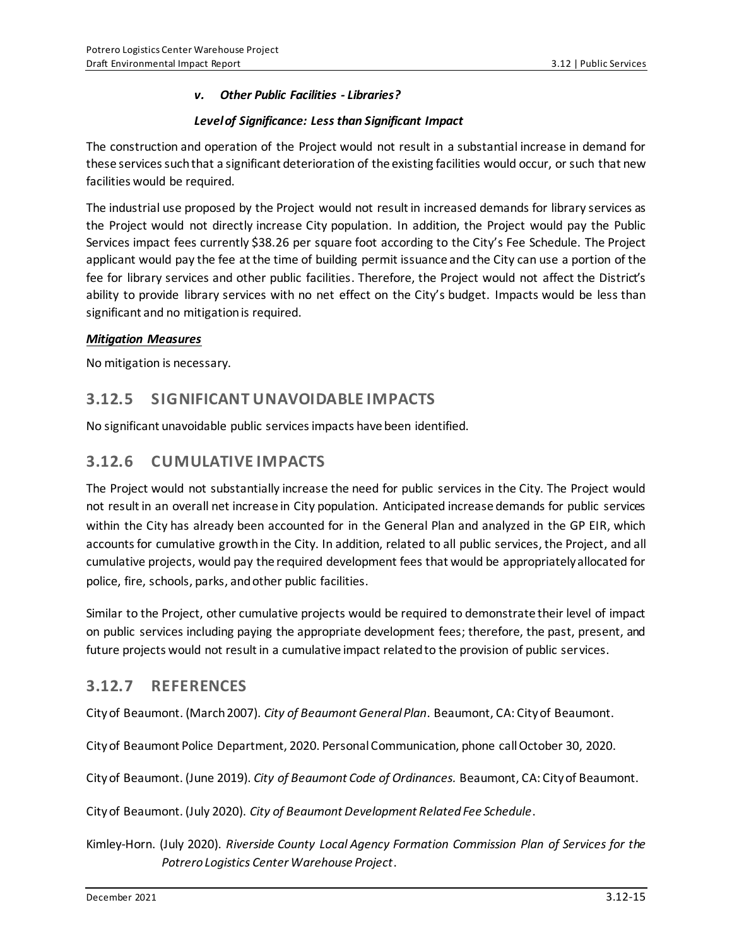#### *v. Other Public Facilities - Libraries?*

#### *Level of Significance: Less than Significant Impact*

The construction and operation of the Project would not result in a substantial increase in demand for these services such that a significant deterioration of the existing facilities would occur, or such that new facilities would be required.

The industrial use proposed by the Project would not result in increased demands for library services as the Project would not directly increase City population. In addition, the Project would pay the Public Services impact fees currently \$38.26 per square foot according to the City's Fee Schedule. The Project applicant would pay the fee at the time of building permit issuance and the City can use a portion of the fee for library services and other public facilities. Therefore, the Project would not affect the District's ability to provide library services with no net effect on the City's budget. Impacts would be less than significant and no mitigation is required.

#### *Mitigation Measures*

No mitigation is necessary.

## **3.12.5 SIGNIFICANT UNAVOIDABLE IMPACTS**

No significant unavoidable public services impacts have been identified.

## **3.12.6 CUMULATIVE IMPACTS**

The Project would not substantially increase the need for public services in the City. The Project would not result in an overall net increase in City population. Anticipated increase demands for public services within the City has already been accounted for in the General Plan and analyzed in the GP EIR, which accounts for cumulative growth in the City. In addition, related to all public services, the Project, and all cumulative projects, would pay the required development fees that would be appropriately allocated for police, fire, schools, parks, and other public facilities.

Similar to the Project, other cumulative projects would be required to demonstrate their level of impact on public services including paying the appropriate development fees; therefore, the past, present, and future projects would not result in a cumulative impact related to the provision of public services.

### **3.12.7 REFERENCES**

City of Beaumont. (March 2007). *City of Beaumont General Plan*. Beaumont, CA: City of Beaumont.

City of Beaumont Police Department, 2020. Personal Communication, phone call October 30, 2020.

City of Beaumont. (June 2019). *City of Beaumont Code of Ordinances.* Beaumont, CA: City of Beaumont.

City of Beaumont. (July 2020). *City of Beaumont Development Related Fee Schedule*.

Kimley-Horn. (July 2020). *Riverside County Local Agency Formation Commission Plan of Services for the Potrero Logistics Center Warehouse Project*.